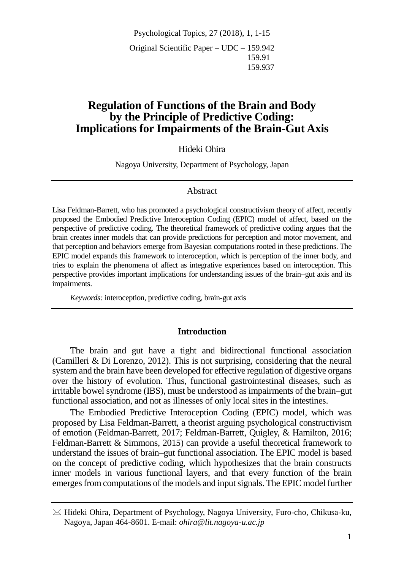Psychological Topics, 27 (2018), 1, 1-15 Original Scientific Paper – UDC – 159.942 159.91 159.937

# **Regulation of Functions of the Brain and Body by the Principle of Predictive Coding: Implications for Impairments of the Brain-Gut Axis**

Hideki Ohira

Nagoya University, Department of Psychology, Japan

#### Abstract

Lisa Feldman-Barrett, who has promoted a psychological constructivism theory of affect, recently proposed the Embodied Predictive Interoception Coding (EPIC) model of affect, based on the perspective of predictive coding. The theoretical framework of predictive coding argues that the brain creates inner models that can provide predictions for perception and motor movement, and that perception and behaviors emerge from Bayesian computations rooted in these predictions. The EPIC model expands this framework to interoception, which is perception of the inner body, and tries to explain the phenomena of affect as integrative experiences based on interoception. This perspective provides important implications for understanding issues of the brain–gut axis and its impairments.

*Keywords:* interoception, predictive coding, brain-gut axis

## **Introduction**

The brain and gut have a tight and bidirectional functional association (Camilleri & Di Lorenzo, 2012). This is not surprising, considering that the neural system and the brain have been developed for effective regulation of digestive organs over the history of evolution. Thus, functional gastrointestinal diseases, such as irritable bowel syndrome (IBS), must be understood as impairments of the brain–gut functional association, and not as illnesses of only local sites in the intestines.

The Embodied Predictive Interoception Coding (EPIC) model, which was proposed by Lisa Feldman-Barrett, a theorist arguing psychological constructivism of emotion (Feldman-Barrett, 2017; Feldman-Barrett, Quigley, & Hamilton, 2016; Feldman-Barrett & Simmons, 2015) can provide a useful theoretical framework to understand the issues of brain–gut functional association. The EPIC model is based on the concept of predictive coding, which hypothesizes that the brain constructs inner models in various functional layers, and that every function of the brain emerges from computations of the models and input signals. The EPIC model further

 $\boxtimes$  Hideki Ohira, Department of Psychology, Nagoya University, Furo-cho, Chikusa-ku, Nagoya, Japan 464-8601. E-mail: *ohira@lit.nagoya-u.ac.jp*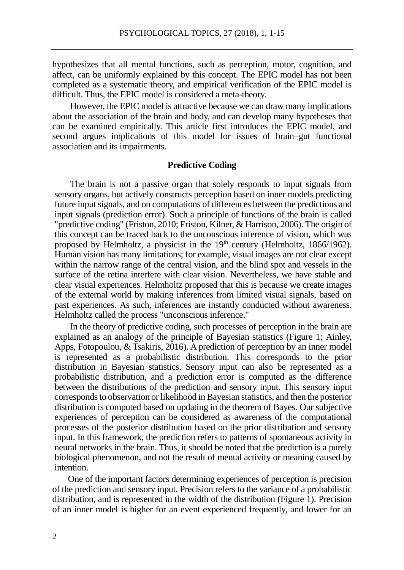hypothesizes that all mental functions, such as perception, motor, cognition, and affect, can be uniformly explained by this concept. The EPIC model has not been completed as a systematic theory, and empirical verification of the EPIC model is difficult. Thus, the EPIC model is considered a meta-theory.

However, the EPIC model is attractive because we can draw many implications about the association of the brain and body, and can develop many hypotheses that can be examined empirically. This article first introduces the EPIC model, and second argues implications of this model for issues of brain–gut functional association and its impairments.

## **Predictive Coding**

The brain is not a passive organ that solely responds to input signals from sensory organs, but actively constructs perception based on inner models predicting future input signals, and on computations of differences between the predictions and input signals (prediction error). Such a principle of functions of the brain is called "predictive coding" (Friston, 2010; Friston, Kilner, & Harrison, 2006). The origin of this concept can be traced back to the unconscious inference of vision, which was proposed by Helmholtz, a physicist in the  $19<sup>th</sup>$  century (Helmholtz, 1866/1962). Human vision has many limitations; for example, visual images are not clear except within the narrow range of the central vision, and the blind spot and vessels in the surface of the retina interfere with clear vision. Nevertheless, we have stable and clear visual experiences. Helmholtz proposed that this is because we create images of the external world by making inferences from limited visual signals, based on past experiences. As such, inferences are instantly conducted without awareness. Helmholtz called the process "unconscious inference."

In the theory of predictive coding, such processes of perception in the brain are explained as an analogy of the principle of Bayesian statistics (Figure 1; Ainley, Apps, Fotopoulou, & Tsakiris, 2016). A prediction of perception by an inner model is represented as a probabilistic distribution. This corresponds to the prior distribution in Bayesian statistics. Sensory input can also be represented as a probabilistic distribution, and a prediction error is computed as the difference between the distributions of the prediction and sensory input. This sensory input corresponds to observation or likelihood in Bayesian statistics, and then the posterior distribution is computed based on updating in the theorem of Bayes. Our subjective experiences of perception can be considered as awareness of the computational processes of the posterior distribution based on the prior distribution and sensory input. In this framework, the prediction refers to patterns of spontaneous activity in neural networks in the brain. Thus, it should be noted that the prediction is a purely biological phenomenon, and not the result of mental activity or meaning caused by intention.

One of the important factors determining experiences of perception is precision of the prediction and sensory input. Precision refers to the variance of a probabilistic distribution, and is represented in the width of the distribution (Figure 1). Precision of an inner model is higher for an event experienced frequently, and lower for an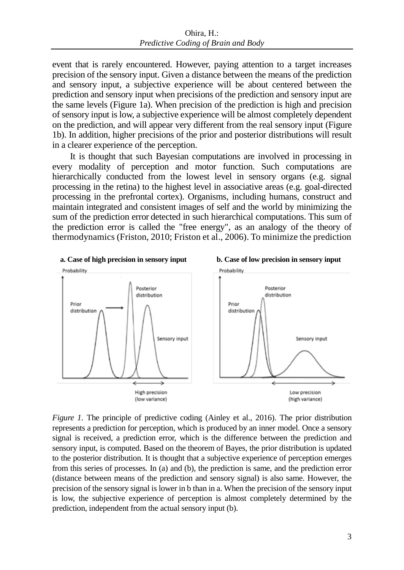event that is rarely encountered. However, paying attention to a target increases precision of the sensory input. Given a distance between the means of the prediction and sensory input, a subjective experience will be about centered between the prediction and sensory input when precisions of the prediction and sensory input are the same levels (Figure 1a). When precision of the prediction is high and precision of sensory input is low, a subjective experience will be almost completely dependent on the prediction, and will appear very different from the real sensory input (Figure 1b). In addition, higher precisions of the prior and posterior distributions will result in a clearer experience of the perception.

It is thought that such Bayesian computations are involved in processing in every modality of perception and motor function. Such computations are hierarchically conducted from the lowest level in sensory organs (e.g. signal processing in the retina) to the highest level in associative areas (e.g. goal-directed processing in the prefrontal cortex). Organisms, including humans, construct and maintain integrated and consistent images of self and the world by minimizing the sum of the prediction error detected in such hierarchical computations. This sum of the prediction error is called the "free energy", as an analogy of the theory of thermodynamics (Friston, 2010; Friston et al., 2006). To minimize the prediction



*Figure 1.* The principle of predictive coding (Ainley et al., 2016). The prior distribution represents a prediction for perception, which is produced by an inner model. Once a sensory signal is received, a prediction error, which is the difference between the prediction and sensory input, is computed. Based on the theorem of Bayes, the prior distribution is updated to the posterior distribution. It is thought that a subjective experience of perception emerges from this series of processes. In (a) and (b), the prediction is same, and the prediction error (distance between means of the prediction and sensory signal) is also same. However, the precision of the sensory signal is lower in b than in a. When the precision of the sensory input is low, the subjective experience of perception is almost completely determined by the prediction, independent from the actual sensory input (b).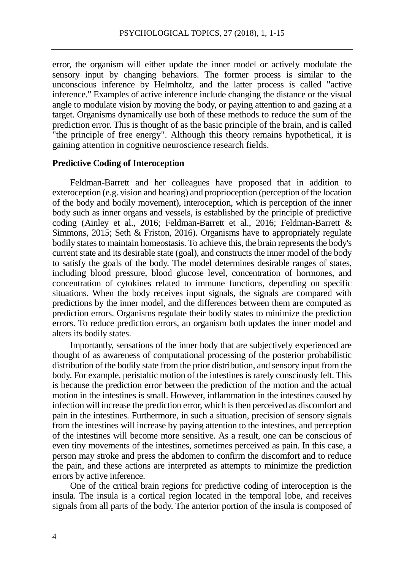error, the organism will either update the inner model or actively modulate the sensory input by changing behaviors. The former process is similar to the unconscious inference by Helmholtz, and the latter process is called "active inference." Examples of active inference include changing the distance or the visual angle to modulate vision by moving the body, or paying attention to and gazing at a target. Organisms dynamically use both of these methods to reduce the sum of the prediction error. This is thought of as the basic principle of the brain, and is called "the principle of free energy". Although this theory remains hypothetical, it is gaining attention in cognitive neuroscience research fields.

#### **Predictive Coding of Interoception**

Feldman-Barrett and her colleagues have proposed that in addition to exteroception (e.g. vision and hearing) and proprioception (perception of the location of the body and bodily movement), interoception, which is perception of the inner body such as inner organs and vessels, is established by the principle of predictive coding (Ainley et al., 2016; Feldman-Barrett et al., 2016; Feldman-Barrett & Simmons, 2015; Seth & Friston, 2016). Organisms have to appropriately regulate bodily states to maintain homeostasis. To achieve this, the brain represents the body's current state and its desirable state (goal), and constructs the inner model of the body to satisfy the goals of the body. The model determines desirable ranges of states, including blood pressure, blood glucose level, concentration of hormones, and concentration of cytokines related to immune functions, depending on specific situations. When the body receives input signals, the signals are compared with predictions by the inner model, and the differences between them are computed as prediction errors. Organisms regulate their bodily states to minimize the prediction errors. To reduce prediction errors, an organism both updates the inner model and alters its bodily states.

Importantly, sensations of the inner body that are subjectively experienced are thought of as awareness of computational processing of the posterior probabilistic distribution of the bodily state from the prior distribution, and sensory input from the body. For example, peristaltic motion of the intestines is rarely consciously felt. This is because the prediction error between the prediction of the motion and the actual motion in the intestines is small. However, inflammation in the intestines caused by infection will increase the prediction error, which is then perceived as discomfort and pain in the intestines. Furthermore, in such a situation, precision of sensory signals from the intestines will increase by paying attention to the intestines, and perception of the intestines will become more sensitive. As a result, one can be conscious of even tiny movements of the intestines, sometimes perceived as pain. In this case, a person may stroke and press the abdomen to confirm the discomfort and to reduce the pain, and these actions are interpreted as attempts to minimize the prediction errors by active inference.

One of the critical brain regions for predictive coding of interoception is the insula. The insula is a cortical region located in the temporal lobe, and receives signals from all parts of the body. The anterior portion of the insula is composed of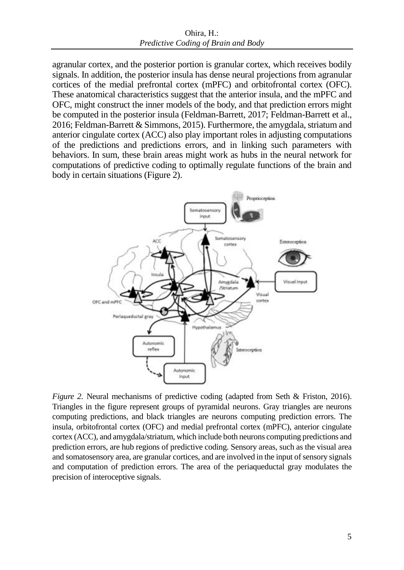Ohira, H.: *Predictive Coding of Brain and Body*

agranular cortex, and the posterior portion is granular cortex, which receives bodily signals. In addition, the posterior insula has dense neural projections from agranular cortices of the medial prefrontal cortex (mPFC) and orbitofrontal cortex (OFC). These anatomical characteristics suggest that the anterior insula, and the mPFC and OFC, might construct the inner models of the body, and that prediction errors might be computed in the posterior insula (Feldman-Barrett, 2017; Feldman-Barrett et al., 2016; Feldman-Barrett & Simmons, 2015). Furthermore, the amygdala, striatum and anterior cingulate cortex (ACC) also play important roles in adjusting computations of the predictions and predictions errors, and in linking such parameters with behaviors. In sum, these brain areas might work as hubs in the neural network for computations of predictive coding to optimally regulate functions of the brain and body in certain situations (Figure 2).



*Figure 2.* Neural mechanisms of predictive coding (adapted from Seth & Friston, 2016). Triangles in the figure represent groups of pyramidal neurons. Gray triangles are neurons computing predictions, and black triangles are neurons computing prediction errors. The insula, orbitofrontal cortex (OFC) and medial prefrontal cortex (mPFC), anterior cingulate cortex (ACC), and amygdala/striatum, which include both neurons computing predictions and prediction errors, are hub regions of predictive coding. Sensory areas, such as the visual area and somatosensory area, are granular cortices, and are involved in the input of sensory signals and computation of prediction errors. The area of the periaqueductal gray modulates the precision of interoceptive signals.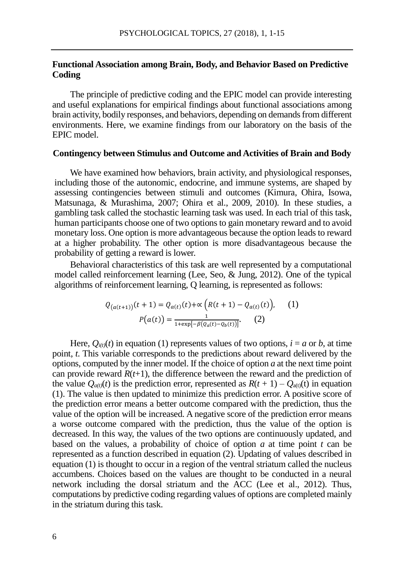# **Functional Association among Brain, Body, and Behavior Based on Predictive Coding**

The principle of predictive coding and the EPIC model can provide interesting and useful explanations for empirical findings about functional associations among brain activity, bodily responses, and behaviors, depending on demands from different environments. Here, we examine findings from our laboratory on the basis of the EPIC model.

#### **Contingency between Stimulus and Outcome and Activities of Brain and Body**

We have examined how behaviors, brain activity, and physiological responses, including those of the autonomic, endocrine, and immune systems, are shaped by assessing contingencies between stimuli and outcomes (Kimura, Ohira, Isowa, Matsunaga, & Murashima, 2007; Ohira et al., 2009, 2010). In these studies, a gambling task called the stochastic learning task was used. In each trial of this task, human participants choose one of two options to gain monetary reward and to avoid monetary loss. One option is more advantageous because the option leads to reward at a higher probability. The other option is more disadvantageous because the probability of getting a reward is lower.

Behavioral characteristics of this task are well represented by a computational model called reinforcement learning (Lee, Seo, & Jung, 2012). One of the typical algorithms of reinforcement learning, Q learning, is represented as follows:

$$
Q_{(a(t+1))}(t+1) = Q_{a(t)}(t) + \propto \left(R(t+1) - Q_{a(t)}(t)\right), \qquad (1)
$$

$$
P(a(t)) = \frac{1}{1 + \exp[-\beta(Q_a(t) - Q_b(t))]}.
$$

Here,  $Q_{it}(t)$  in equation (1) represents values of two options,  $i = a$  or *b*, at time point, *t.* This variable corresponds to the predictions about reward delivered by the options, computed by the inner model. If the choice of option *a* at the next time point can provide reward  $R(t+1)$ , the difference between the reward and the prediction of the value  $Q_{a(t)}(t)$  is the prediction error, represented as  $R(t + 1) - Q_{a(t)}(t)$  in equation (1). The value is then updated to minimize this prediction error. A positive score of the prediction error means a better outcome compared with the prediction, thus the value of the option will be increased. A negative score of the prediction error means a worse outcome compared with the prediction, thus the value of the option is decreased. In this way, the values of the two options are continuously updated, and based on the values, a probability of choice of option *a* at time point *t* can be represented as a function described in equation (2). Updating of values described in equation (1) is thought to occur in a region of the ventral striatum called the nucleus accumbens. Choices based on the values are thought to be conducted in a neural network including the dorsal striatum and the ACC (Lee et al., 2012). Thus, computations by predictive coding regarding values of options are completed mainly in the striatum during this task.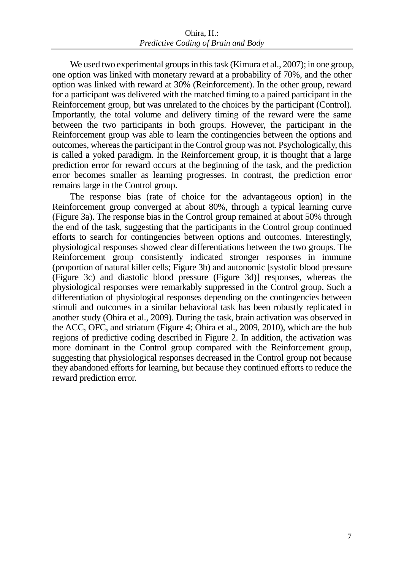We used two experimental groups in this task (Kimura et al., 2007); in one group, one option was linked with monetary reward at a probability of 70%, and the other option was linked with reward at 30% (Reinforcement). In the other group, reward for a participant was delivered with the matched timing to a paired participant in the Reinforcement group, but was unrelated to the choices by the participant (Control). Importantly, the total volume and delivery timing of the reward were the same between the two participants in both groups. However, the participant in the Reinforcement group was able to learn the contingencies between the options and outcomes, whereas the participant in the Control group was not. Psychologically, this is called a yoked paradigm. In the Reinforcement group, it is thought that a large prediction error for reward occurs at the beginning of the task, and the prediction error becomes smaller as learning progresses. In contrast, the prediction error remains large in the Control group.

The response bias (rate of choice for the advantageous option) in the Reinforcement group converged at about 80%, through a typical learning curve (Figure 3a). The response bias in the Control group remained at about 50% through the end of the task, suggesting that the participants in the Control group continued efforts to search for contingencies between options and outcomes. Interestingly, physiological responses showed clear differentiations between the two groups. The Reinforcement group consistently indicated stronger responses in immune (proportion of natural killer cells; Figure 3b) and autonomic [systolic blood pressure (Figure 3c) and diastolic blood pressure (Figure 3d)] responses, whereas the physiological responses were remarkably suppressed in the Control group. Such a differentiation of physiological responses depending on the contingencies between stimuli and outcomes in a similar behavioral task has been robustly replicated in another study (Ohira et al., 2009). During the task, brain activation was observed in the ACC, OFC, and striatum (Figure 4; Ohira et al., 2009, 2010), which are the hub regions of predictive coding described in Figure 2. In addition, the activation was more dominant in the Control group compared with the Reinforcement group, suggesting that physiological responses decreased in the Control group not because they abandoned efforts for learning, but because they continued efforts to reduce the reward prediction error.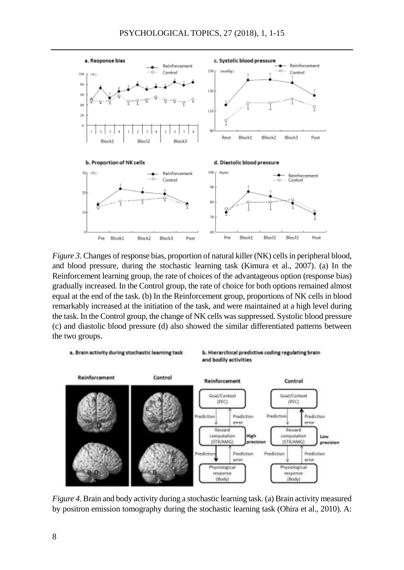

*Figure 3.* Changes of response bias, proportion of natural killer (NK) cells in peripheral blood, and blood pressure, during the stochastic learning task (Kimura et al., 2007). (a) In the Reinforcement learning group, the rate of choices of the advantageous option (response bias) gradually increased. In the Control group, the rate of choice for both options remained almost equal at the end of the task. (b) In the Reinforcement group, proportions of NK cells in blood remarkably increased at the initiation of the task, and were maintained at a high level during the task. In the Control group, the change of NK cells was suppressed. Systolic blood pressure (c) and diastolic blood pressure (d) also showed the similar differentiated patterns between the two groups.



*Figure 4.* Brain and body activity during a stochastic learning task. (a) Brain activity measured by positron emission tomography during the stochastic learning task (Ohira et al., 2010). A: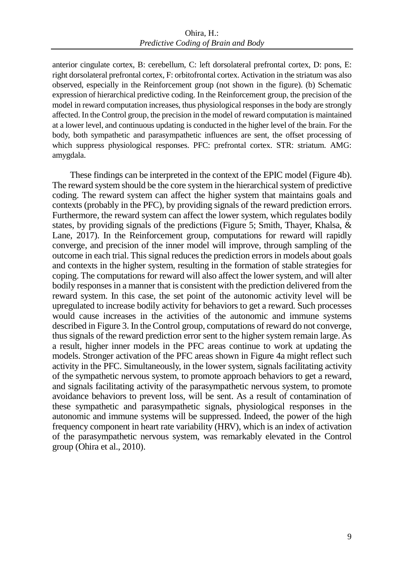anterior cingulate cortex, B: cerebellum, C: left dorsolateral prefrontal cortex, D: pons, E: right dorsolateral prefrontal cortex, F: orbitofrontal cortex. Activation in the striatum was also observed, especially in the Reinforcement group (not shown in the figure). (b) Schematic expression of hierarchical predictive coding. In the Reinforcement group, the precision of the model in reward computation increases, thus physiological responses in the body are strongly affected. In the Control group, the precision in the model of reward computation is maintained at a lower level, and continuous updating is conducted in the higher level of the brain. For the body, both sympathetic and parasympathetic influences are sent, the offset processing of which suppress physiological responses. PFC: prefrontal cortex. STR: striatum. AMG: amygdala.

These findings can be interpreted in the context of the EPIC model (Figure 4b). The reward system should be the core system in the hierarchical system of predictive coding. The reward system can affect the higher system that maintains goals and contexts (probably in the PFC), by providing signals of the reward prediction errors. Furthermore, the reward system can affect the lower system, which regulates bodily states, by providing signals of the predictions (Figure 5; Smith, Thayer, Khalsa,  $\&$ Lane, 2017). In the Reinforcement group, computations for reward will rapidly converge, and precision of the inner model will improve, through sampling of the outcome in each trial. This signal reduces the prediction errors in models about goals and contexts in the higher system, resulting in the formation of stable strategies for coping. The computations for reward will also affect the lower system, and will alter bodily responses in a manner that is consistent with the prediction delivered from the reward system. In this case, the set point of the autonomic activity level will be upregulated to increase bodily activity for behaviors to get a reward. Such processes would cause increases in the activities of the autonomic and immune systems described in Figure 3. In the Control group, computations of reward do not converge, thus signals of the reward prediction error sent to the higher system remain large. As a result, higher inner models in the PFC areas continue to work at updating the models. Stronger activation of the PFC areas shown in Figure 4a might reflect such activity in the PFC. Simultaneously, in the lower system, signals facilitating activity of the sympathetic nervous system, to promote approach behaviors to get a reward, and signals facilitating activity of the parasympathetic nervous system, to promote avoidance behaviors to prevent loss, will be sent. As a result of contamination of these sympathetic and parasympathetic signals, physiological responses in the autonomic and immune systems will be suppressed. Indeed, the power of the high frequency component in heart rate variability (HRV), which is an index of activation of the parasympathetic nervous system, was remarkably elevated in the Control group (Ohira et al., 2010).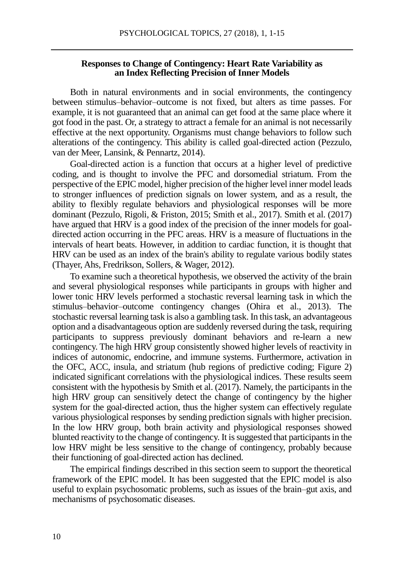## **Responses to Change of Contingency: Heart Rate Variability as an Index Reflecting Precision of Inner Models**

Both in natural environments and in social environments, the contingency between stimulus–behavior–outcome is not fixed, but alters as time passes. For example, it is not guaranteed that an animal can get food at the same place where it got food in the past. Or, a strategy to attract a female for an animal is not necessarily effective at the next opportunity. Organisms must change behaviors to follow such alterations of the contingency. This ability is called goal-directed action (Pezzulo, van der Meer, Lansink, & Pennartz, 2014).

Goal-directed action is a function that occurs at a higher level of predictive coding, and is thought to involve the PFC and dorsomedial striatum. From the perspective of the EPIC model, higher precision of the higher level inner model leads to stronger influences of prediction signals on lower system, and as a result, the ability to flexibly regulate behaviors and physiological responses will be more dominant (Pezzulo, Rigoli, & Friston, 2015; Smith et al., 2017). Smith et al. (2017) have argued that HRV is a good index of the precision of the inner models for goaldirected action occurring in the PFC areas. HRV is a measure of fluctuations in the intervals of heart beats. However, in addition to cardiac function, it is thought that HRV can be used as an index of the brain's ability to regulate various bodily states (Thayer, Ahs, Fredrikson, Sollers, & Wager, 2012).

To examine such a theoretical hypothesis, we observed the activity of the brain and several physiological responses while participants in groups with higher and lower tonic HRV levels performed a stochastic reversal learning task in which the stimulus–behavior–outcome contingency changes (Ohira et al., 2013). The stochastic reversal learning task is also a gambling task. In this task, an advantageous option and a disadvantageous option are suddenly reversed during the task, requiring participants to suppress previously dominant behaviors and re-learn a new contingency. The high HRV group consistently showed higher levels of reactivity in indices of autonomic, endocrine, and immune systems. Furthermore, activation in the OFC, ACC, insula, and striatum (hub regions of predictive coding; Figure 2) indicated significant correlations with the physiological indices. These results seem consistent with the hypothesis by Smith et al. (2017). Namely, the participants in the high HRV group can sensitively detect the change of contingency by the higher system for the goal-directed action, thus the higher system can effectively regulate various physiological responses by sending prediction signals with higher precision. In the low HRV group, both brain activity and physiological responses showed blunted reactivity to the change of contingency. It is suggested that participants in the low HRV might be less sensitive to the change of contingency, probably because their functioning of goal-directed action has declined.

The empirical findings described in this section seem to support the theoretical framework of the EPIC model. It has been suggested that the EPIC model is also useful to explain psychosomatic problems, such as issues of the brain–gut axis, and mechanisms of psychosomatic diseases.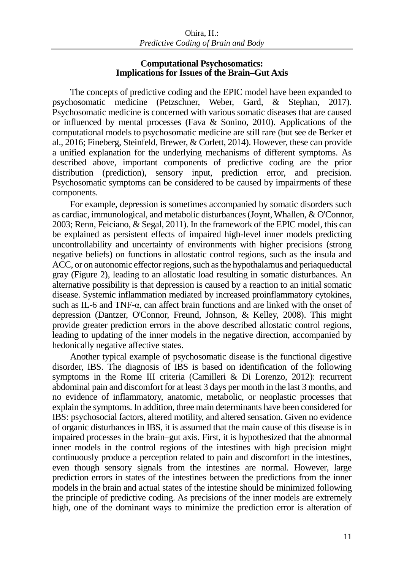## **Computational Psychosomatics: Implications for Issues of the Brain–Gut Axis**

The concepts of predictive coding and the EPIC model have been expanded to psychosomatic medicine (Petzschner, Weber, Gard, & Stephan, 2017). Psychosomatic medicine is concerned with various somatic diseases that are caused or influenced by mental processes (Fava & Sonino, 2010). Applications of the computational models to psychosomatic medicine are still rare (but see de Berker et al., 2016; Fineberg, Steinfeld, Brewer, & Corlett, 2014). However, these can provide a unified explanation for the underlying mechanisms of different symptoms. As described above, important components of predictive coding are the prior distribution (prediction), sensory input, prediction error, and precision. Psychosomatic symptoms can be considered to be caused by impairments of these components.

For example, depression is sometimes accompanied by somatic disorders such as cardiac, immunological, and metabolic disturbances (Joynt, Whallen, & O'Connor, 2003; Renn, Feiciano, & Segal, 2011). In the framework of the EPIC model, this can be explained as persistent effects of impaired high-level inner models predicting uncontrollability and uncertainty of environments with higher precisions (strong negative beliefs) on functions in allostatic control regions, such as the insula and ACC, or on autonomic effector regions, such as the hypothalamus and periaqueductal gray (Figure 2), leading to an allostatic load resulting in somatic disturbances. An alternative possibility is that depression is caused by a reaction to an initial somatic disease. Systemic inflammation mediated by increased proinflammatory cytokines, such as IL-6 and TNF-α, can affect brain functions and are linked with the onset of depression (Dantzer, O'Connor, Freund, Johnson, & Kelley, 2008). This might provide greater prediction errors in the above described allostatic control regions, leading to updating of the inner models in the negative direction, accompanied by hedonically negative affective states.

Another typical example of psychosomatic disease is the functional digestive disorder, IBS. The diagnosis of IBS is based on identification of the following symptoms in the Rome III criteria (Camilleri & Di Lorenzo, 2012): recurrent abdominal pain and discomfort for at least 3 days per month in the last 3 months, and no evidence of inflammatory, anatomic, metabolic, or neoplastic processes that explain the symptoms. In addition, three main determinants have been considered for IBS: psychosocial factors, altered motility, and altered sensation. Given no evidence of organic disturbances in IBS, it is assumed that the main cause of this disease is in impaired processes in the brain–gut axis. First, it is hypothesized that the abnormal inner models in the control regions of the intestines with high precision might continuously produce a perception related to pain and discomfort in the intestines, even though sensory signals from the intestines are normal. However, large prediction errors in states of the intestines between the predictions from the inner models in the brain and actual states of the intestine should be minimized following the principle of predictive coding. As precisions of the inner models are extremely high, one of the dominant ways to minimize the prediction error is alteration of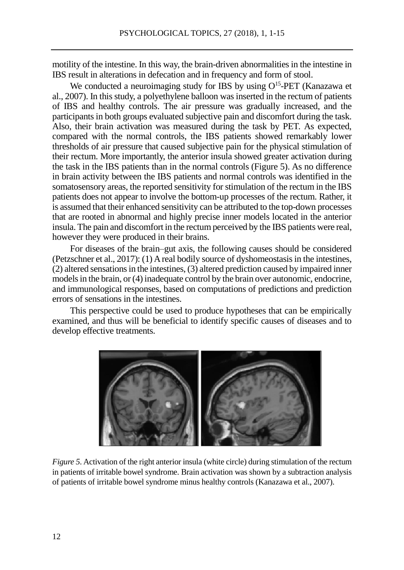motility of the intestine. In this way, the brain-driven abnormalities in the intestine in IBS result in alterations in defecation and in frequency and form of stool.

We conducted a neuroimaging study for IBS by using  $O<sup>15</sup>$ -PET (Kanazawa et al., 2007). In this study, a polyethylene balloon was inserted in the rectum of patients of IBS and healthy controls. The air pressure was gradually increased, and the participants in both groups evaluated subjective pain and discomfort during the task. Also, their brain activation was measured during the task by PET. As expected, compared with the normal controls, the IBS patients showed remarkably lower thresholds of air pressure that caused subjective pain for the physical stimulation of their rectum. More importantly, the anterior insula showed greater activation during the task in the IBS patients than in the normal controls (Figure 5). As no difference in brain activity between the IBS patients and normal controls was identified in the somatosensory areas, the reported sensitivity for stimulation of the rectum in the IBS patients does not appear to involve the bottom-up processes of the rectum. Rather, it is assumed that their enhanced sensitivity can be attributed to the top-down processes that are rooted in abnormal and highly precise inner models located in the anterior insula. The pain and discomfort in the rectum perceived by the IBS patients were real, however they were produced in their brains.

For diseases of the brain–gut axis, the following causes should be considered (Petzschner et al., 2017): (1) A real bodily source of dyshomeostasis in the intestines, (2) altered sensations in the intestines, (3) altered prediction caused by impaired inner models in the brain, or (4) inadequate control by the brain over autonomic, endocrine, and immunological responses, based on computations of predictions and prediction errors of sensations in the intestines.

This perspective could be used to produce hypotheses that can be empirically examined, and thus will be beneficial to identify specific causes of diseases and to develop effective treatments.



*Figure 5*. Activation of the right anterior insula (white circle) during stimulation of the rectum in patients of irritable bowel syndrome. Brain activation was shown by a subtraction analysis of patients of irritable bowel syndrome minus healthy controls (Kanazawa et al., 2007).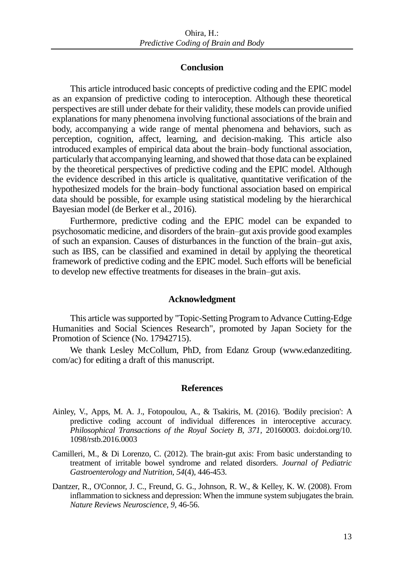## **Conclusion**

This article introduced basic concepts of predictive coding and the EPIC model as an expansion of predictive coding to interoception. Although these theoretical perspectives are still under debate for their validity, these models can provide unified explanations for many phenomena involving functional associations of the brain and body, accompanying a wide range of mental phenomena and behaviors, such as perception, cognition, affect, learning, and decision-making. This article also introduced examples of empirical data about the brain–body functional association, particularly that accompanying learning, and showed that those data can be explained by the theoretical perspectives of predictive coding and the EPIC model. Although the evidence described in this article is qualitative, quantitative verification of the hypothesized models for the brain–body functional association based on empirical data should be possible, for example using statistical modeling by the hierarchical Bayesian model (de Berker et al., 2016).

Furthermore, predictive coding and the EPIC model can be expanded to psychosomatic medicine, and disorders of the brain–gut axis provide good examples of such an expansion. Causes of disturbances in the function of the brain–gut axis, such as IBS, can be classified and examined in detail by applying the theoretical framework of predictive coding and the EPIC model. Such efforts will be beneficial to develop new effective treatments for diseases in the brain–gut axis.

#### **Acknowledgment**

This article was supported by "Topic-Setting Program to Advance Cutting-Edge Humanities and Social Sciences Research", promoted by Japan Society for the Promotion of Science (No. 17942715).

We thank Lesley McCollum, PhD, from Edanz Group (www.edanzediting. com/ac) for editing a draft of this manuscript.

#### **References**

- Ainley, V., Apps, M. A. J., Fotopoulou, A., & Tsakiris, M. (2016). 'Bodily precision': A predictive coding account of individual differences in interoceptive accuracy. *Philosophical Transactions of the Royal Society B*, *371,* 20160003. doi:doi.org/10. 1098/rstb.2016.0003
- Camilleri, M., & Di Lorenzo, C. (2012). The brain-gut axis: From basic understanding to treatment of irritable bowel syndrome and related disorders. *Journal of Pediatric Gastroenterology and Nutrition, 54*(4)*,* 446-453.
- Dantzer, R., O'Connor, J. C., Freund, G. G., Johnson, R. W., & Kelley, K. W. (2008). From inflammation to sickness and depression: When the immune system subjugates the brain. *Nature Reviews Neuroscience, 9*, 46-56.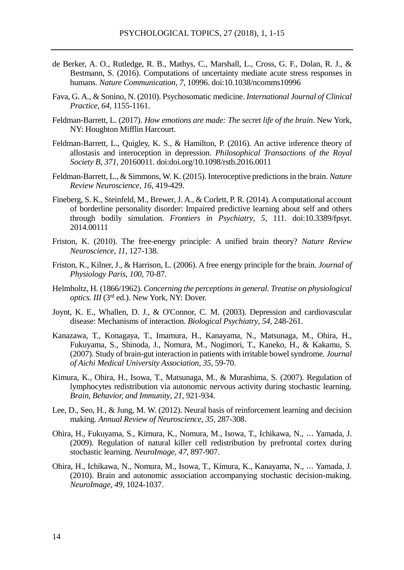- de Berker, A. O., Rutledge, R. B., Mathys, C., Marshall, L., Cross, G. F., Dolan, R. J., & Bestmann, S. (2016). Computations of uncertainty mediate acute stress responses in humans. *Nature Communication*, *7*, 10996. doi:10.1038/ncomms10996
- Fava, G. A., & Sonino, N. (2010). Psychosomatic medicine. *International Journal of Clinical Practice, 64*, 1155-1161.
- Feldman-Barrett, L. (2017). *How emotions are made: The secret life of the brain*. New York, NY: Houghton Mifflin Harcourt.
- Feldman-Barrett, L., Quigley, K. S., & Hamilton, P. (2016). An active inference theory of allostasis and interoception in depression. *Philosophical Transactions of the Royal Society B*, *371,* 20160011. doi:doi.org/10.1098/rstb.2016.0011
- Feldman-Barrett, L., & Simmons, W. K. (2015). Interoceptive predictions in the brain. *Nature Review Neuroscience*, *16*, 419-429.
- Fineberg, S. K., Steinfeld, M., Brewer, J. A., & Corlett, P. R. (2014). A computational account of borderline personality disorder: Impaired predictive learning about self and others through bodily simulation. *Frontiers in Psychiatry*, *5*, 111. doi:10.3389/fpsyt. 2014.00111
- Friston, K. (2010). The free-energy principle: A unified brain theory? *Nature Review Neuroscience, 11,* 127-138.
- Friston, K., Kilner, J., & Harrison, L. (2006). A free energy principle for the brain. *Journal of Physiology Paris*, *100,* 70-87.
- Helmholtz, H. (1866/1962). *Concerning the perceptions in general. Treatise on physiological optics. III* (3rd ed.). New York, NY: Dover.
- Joynt, K. E., Whallen, D. J., & O'Connor, C. M. (2003). Depression and cardiovascular disease: Mechanisms of interaction. *Biological Psychiatry*, *54*, 248-261.
- Kanazawa, T., Konagaya, T., Imamura, H., Kanayama, N., Matsunaga, M., Ohira, H., Fukuyama, S., Shinoda, J., Nomura, M., Nogimori, T., Kaneko, H., & Kakamu, S. (2007). Study of brain-gut interaction in patients with irritable bowel syndrome*. Journal of Aichi Medical University Association*, *35*, 59-70.
- Kimura, K., Ohira, H., Isowa, T., Matsunaga, M., & Murashima, S. (2007). Regulation of lymphocytes redistribution via autonomic nervous activity during stochastic learning. *Brain, Behavior, and Immunity*, *21*, 921-934.
- Lee, D., Seo, H., & Jung, M. W. (2012). Neural basis of reinforcement learning and decision making. *Annual Review of Neuroscience, 35*, 287-308.
- Ohira, H., Fukuyama, S., Kimura, K., Nomura, M., Isowa, T., Ichikawa, N., ⋯ Yamada, J. (2009). Regulation of natural killer cell redistribution by prefrontal cortex during stochastic learning. *NeuroImage*, *47*, 897-907.
- Ohira, H., Ichikawa, N., Nomura, M., Isowa, T., Kimura, K., Kanayama, N., ⋯ Yamada, J. (2010). Brain and autonomic association accompanying stochastic decision-making. *NeuroImage*, *49*, 1024-1037.